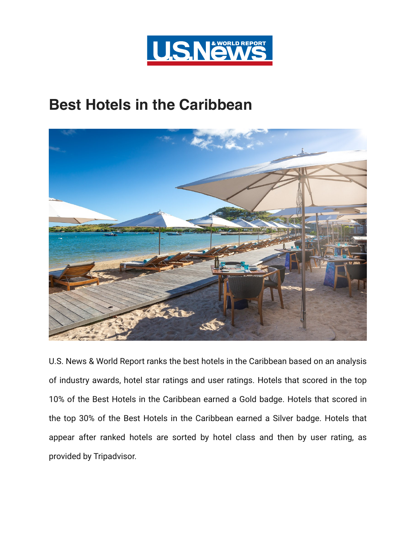

## **Best Hotels in the Caribbean**



U.S. News & World Report ranks the best hotels in the Caribbean based on an analysis of industry awards, hotel star ratings and user ratings. Hotels that scored in the top 10% of the Best Hotels in the Caribbean earned a Gold badge. Hotels that scored in the top 30% of the Best Hotels in the Caribbean earned a Silver badge. Hotels that appear after ranked hotels are sorted by hotel class and then by user rating, as provided by Tripadvisor.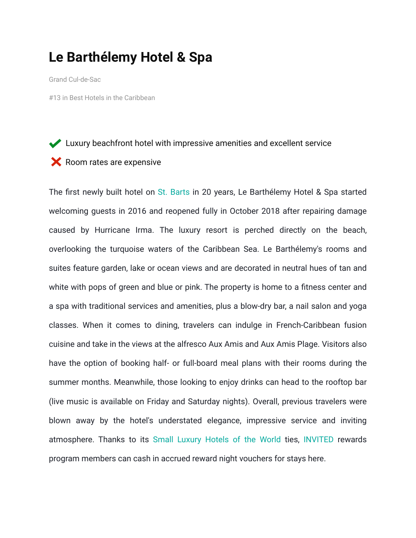### **Le Barthélemy Hotel & Spa**

Grand Cul-de-Sac

#13 in Best Hotels in the Caribbean

#### Luxury beachfront hotel with impressive amenities and excellent service

#### $\blacktriangleright$  Room rates are expensive

The first newly built hotel on [St. Barts](https://travel.usnews.com/St_Barts/) in 20 years, Le Barthélemy Hotel & Spa started welcoming guests in 2016 and reopened fully in October 2018 after repairing damage caused by Hurricane Irma. The luxury resort is perched directly on the beach, overlooking the turquoise waters of the Caribbean Sea. Le Barthélemy's rooms and suites feature garden, lake or ocean views and are decorated in neutral hues of tan and white with pops of green and blue or pink. The property is home to a fitness center and a spa with traditional services and amenities, plus a blow-dry bar, a nail salon and yoga classes. When it comes to dining, travelers can indulge in French-Caribbean fusion cuisine and take in the views at the alfresco Aux Amis and Aux Amis Plage. Visitors also have the option of booking half- or full-board meal plans with their rooms during the summer months. Meanwhile, those looking to enjoy drinks can head to the rooftop bar (live music is available on Friday and Saturday nights). Overall, previous travelers were blown away by the hotel's understated elegance, impressive service and inviting atmosphere. Thanks to its [Small Luxury Hotels of the World](https://travel.usnews.com/Hotels/b-Small_Luxury_Hotels_of_the_World/)  ties, [INVITED](https://travel.usnews.com/rankings/travel-rewards/hotel-rewards/invited/) rewards program members can cash in accrued reward night vouchers for stays here.